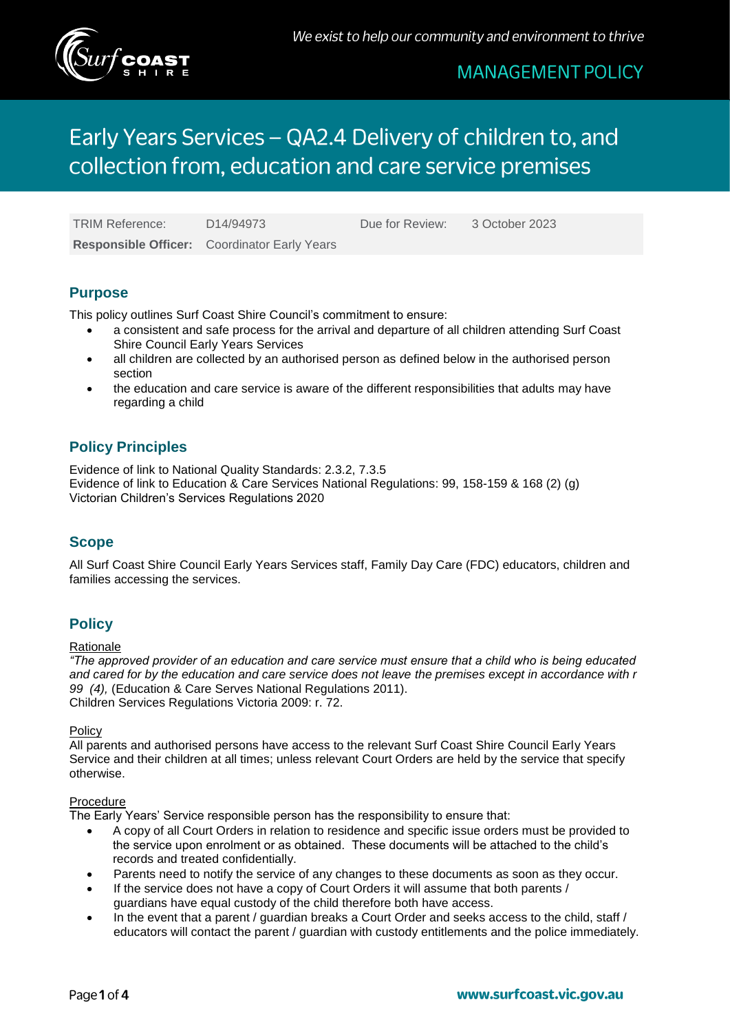

# Early Years Services - QA2.4 Delivery of children to, and collection from, education and care service premises

TRIM Reference: D14/94973 Due for Review: 3 October 2023

**Responsible Officer:** Coordinator Early Years

## **Purpose**

This policy outlines Surf Coast Shire Council's commitment to ensure:

- a consistent and safe process for the arrival and departure of all children attending Surf Coast Shire Council Early Years Services
- all children are collected by an authorised person as defined below in the authorised person section
- the education and care service is aware of the different responsibilities that adults may have regarding a child

# **Policy Principles**

Evidence of link to National Quality Standards: 2.3.2, 7.3.5 Evidence of link to Education & Care Services National Regulations: 99, 158-159 & 168 (2) (g) Victorian Children's Services Regulations 2020

### **Scope**

All Surf Coast Shire Council Early Years Services staff, Family Day Care (FDC) educators, children and families accessing the services.

# **Policy**

#### Rationale

*"The approved provider of an education and care service must ensure that a child who is being educated and cared for by the education and care service does not leave the premises except in accordance with r 99 (4),* (Education & Care Serves National Regulations 2011). Children Services Regulations Victoria 2009: r. 72.

**Policy** 

All parents and authorised persons have access to the relevant Surf Coast Shire Council Early Years Service and their children at all times; unless relevant Court Orders are held by the service that specify otherwise.

#### Procedure

The Early Years' Service responsible person has the responsibility to ensure that:

- A copy of all Court Orders in relation to residence and specific issue orders must be provided to the service upon enrolment or as obtained. These documents will be attached to the child's records and treated confidentially.
- Parents need to notify the service of any changes to these documents as soon as they occur.
- If the service does not have a copy of Court Orders it will assume that both parents / guardians have equal custody of the child therefore both have access.
- In the event that a parent / guardian breaks a Court Order and seeks access to the child, staff / educators will contact the parent / guardian with custody entitlements and the police immediately.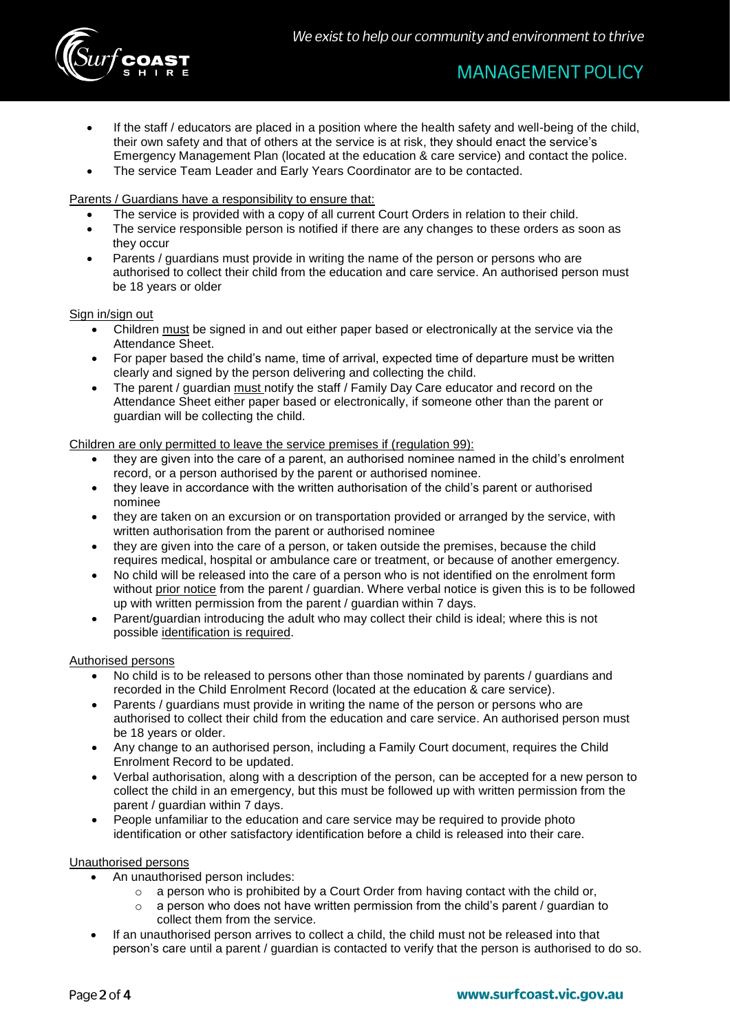

- If the staff / educators are placed in a position where the health safety and well-being of the child, their own safety and that of others at the service is at risk, they should enact the service's Emergency Management Plan (located at the education & care service) and contact the police.
- The service Team Leader and Early Years Coordinator are to be contacted.

#### Parents / Guardians have a responsibility to ensure that:

- The service is provided with a copy of all current Court Orders in relation to their child.
- The service responsible person is notified if there are any changes to these orders as soon as they occur
- Parents / guardians must provide in writing the name of the person or persons who are authorised to collect their child from the education and care service. An authorised person must be 18 years or older

#### Sign in/sign out

- Children must be signed in and out either paper based or electronically at the service via the Attendance Sheet.
- For paper based the child's name, time of arrival, expected time of departure must be written clearly and signed by the person delivering and collecting the child.
- The parent / guardian must notify the staff / Family Day Care educator and record on the Attendance Sheet either paper based or electronically, if someone other than the parent or guardian will be collecting the child.

#### Children are only permitted to leave the service premises if (regulation 99):

- they are given into the care of a parent, an authorised nominee named in the child's enrolment record, or a person authorised by the parent or authorised nominee.
- they leave in accordance with the written authorisation of the child's parent or authorised nominee
- they are taken on an excursion or on transportation provided or arranged by the service, with written authorisation from the parent or authorised nominee
- they are given into the care of a person, or taken outside the premises, because the child requires medical, hospital or ambulance care or treatment, or because of another emergency.
- No child will be released into the care of a person who is not identified on the enrolment form without prior notice from the parent / guardian. Where verbal notice is given this is to be followed up with written permission from the parent / guardian within 7 days.
- Parent/guardian introducing the adult who may collect their child is ideal; where this is not possible identification is required.

#### Authorised persons

- No child is to be released to persons other than those nominated by parents / guardians and recorded in the Child Enrolment Record (located at the education & care service).
- Parents / guardians must provide in writing the name of the person or persons who are authorised to collect their child from the education and care service. An authorised person must be 18 years or older.
- Any change to an authorised person, including a Family Court document, requires the Child Enrolment Record to be updated.
- Verbal authorisation, along with a description of the person, can be accepted for a new person to collect the child in an emergency, but this must be followed up with written permission from the parent / guardian within 7 days.
- People unfamiliar to the education and care service may be required to provide photo identification or other satisfactory identification before a child is released into their care.

#### Unauthorised persons

- An unauthorised person includes:
	- a person who is prohibited by a Court Order from having contact with the child or,
	- $\circ$  a person who does not have written permission from the child's parent / guardian to collect them from the service.
- If an unauthorised person arrives to collect a child, the child must not be released into that person's care until a parent / guardian is contacted to verify that the person is authorised to do so.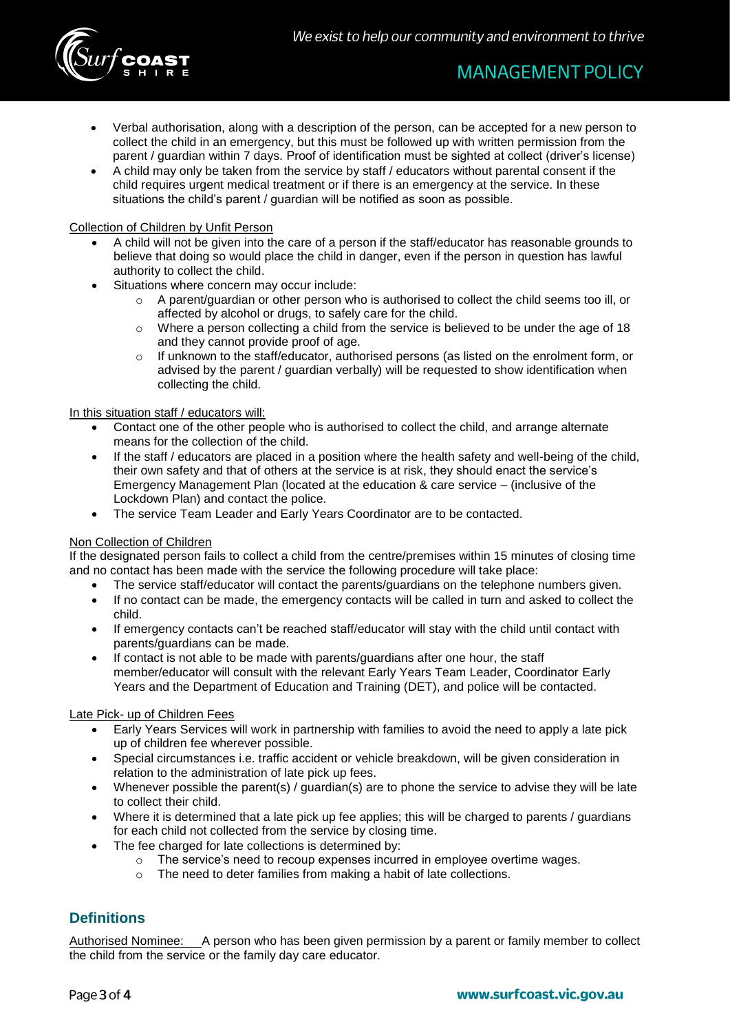

- Verbal authorisation, along with a description of the person, can be accepted for a new person to collect the child in an emergency, but this must be followed up with written permission from the parent / guardian within 7 days. Proof of identification must be sighted at collect (driver's license)
- A child may only be taken from the service by staff / educators without parental consent if the child requires urgent medical treatment or if there is an emergency at the service. In these situations the child's parent / guardian will be notified as soon as possible.

#### Collection of Children by Unfit Person

- A child will not be given into the care of a person if the staff/educator has reasonable grounds to believe that doing so would place the child in danger, even if the person in question has lawful authority to collect the child.
- Situations where concern may occur include:
	- $\circ$  A parent/guardian or other person who is authorised to collect the child seems too ill, or affected by alcohol or drugs, to safely care for the child.
	- o Where a person collecting a child from the service is believed to be under the age of 18 and they cannot provide proof of age.
	- $\circ$  If unknown to the staff/educator, authorised persons (as listed on the enrolment form, or advised by the parent / guardian verbally) will be requested to show identification when collecting the child.

#### In this situation staff / educators will:

- Contact one of the other people who is authorised to collect the child, and arrange alternate means for the collection of the child.
- If the staff / educators are placed in a position where the health safety and well-being of the child, their own safety and that of others at the service is at risk, they should enact the service's Emergency Management Plan (located at the education & care service – (inclusive of the Lockdown Plan) and contact the police.
- The service Team Leader and Early Years Coordinator are to be contacted.

#### Non Collection of Children

If the designated person fails to collect a child from the centre/premises within 15 minutes of closing time and no contact has been made with the service the following procedure will take place:

- The service staff/educator will contact the parents/guardians on the telephone numbers given.
- If no contact can be made, the emergency contacts will be called in turn and asked to collect the child.
- If emergency contacts can't be reached staff/educator will stay with the child until contact with parents/guardians can be made.
- If contact is not able to be made with parents/guardians after one hour, the staff member/educator will consult with the relevant Early Years Team Leader, Coordinator Early Years and the Department of Education and Training (DET), and police will be contacted.

#### Late Pick- up of Children Fees

- Early Years Services will work in partnership with families to avoid the need to apply a late pick up of children fee wherever possible.
- Special circumstances i.e. traffic accident or vehicle breakdown, will be given consideration in relation to the administration of late pick up fees.
- Whenever possible the parent(s) / quardian(s) are to phone the service to advise they will be late to collect their child.
- Where it is determined that a late pick up fee applies; this will be charged to parents / guardians for each child not collected from the service by closing time.
- The fee charged for late collections is determined by:
	- $\circ$  The service's need to recoup expenses incurred in employee overtime wages.
	- The need to deter families from making a habit of late collections.

### **Definitions**

Authorised Nominee: A person who has been given permission by a parent or family member to collect the child from the service or the family day care educator.